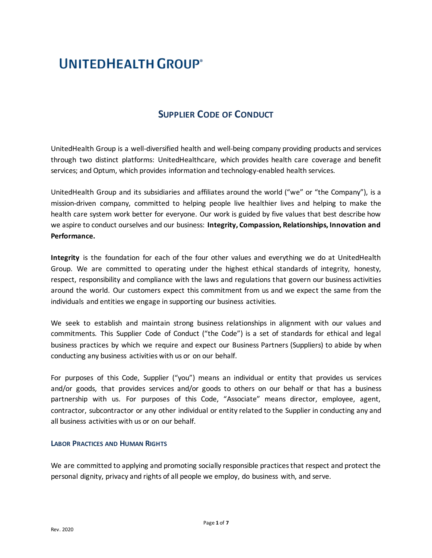# UNITEDHEALTH GROUP®

## **SUPPLIER CODE OF CONDUCT**

UnitedHealth Group is a well-diversified health and well-being company providing products and services through two distinct platforms: UnitedHealthcare, which provides health care coverage and benefit services; and Optum, which provides information and technology-enabled health services.

UnitedHealth Group and its subsidiaries and affiliates around the world ("we" or "the Company"), is a mission-driven company, committed to helping people live healthier lives and helping to make the health care system work better for everyone. Our work is guided by five values that best describe how we aspire to conduct ourselves and our business: **Integrity, Compassion, Relationships, Innovation and Performance.** 

**Integrity** is the foundation for each of the four other values and everything we do at UnitedHealth Group. We are committed to operating under the highest ethical standards of integrity, honesty, respect, responsibility and compliance with the laws and regulations that govern our business activities around the world. Our customers expect this commitment from us and we expect the same from the individuals and entities we engage in supporting our business activities.

We seek to establish and maintain strong business relationships in alignment with our values and commitments. This Supplier Code of Conduct ("the Code") is a set of standards for ethical and legal business practices by which we require and expect our Business Partners (Suppliers) to abide by when conducting any business activities with us or on our behalf.

For purposes of this Code, Supplier ("you") means an individual or entity that provides us services and/or goods, that provides services and/or goods to others on our behalf or that has a business partnership with us. For purposes of this Code, "Associate" means director, employee, agent, contractor, subcontractor or any other individual or entity related to the Supplier in conducting any and all business activities with us or on our behalf.

## **LABOR PRACTICES AND HUMAN RIGHTS**

We are committed to applying and promoting socially responsible practices that respect and protect the personal dignity, privacy and rights of all people we employ, do business with, and serve.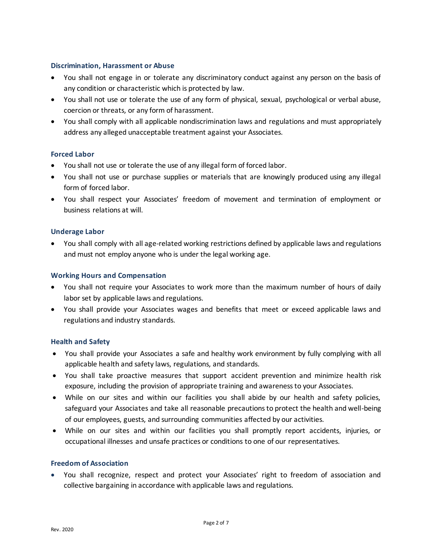## **Discrimination, Harassment or Abuse**

- You shall not engage in or tolerate any discriminatory conduct against any person on the basis of any condition or characteristic which is protected by law.
- You shall not use or tolerate the use of any form of physical, sexual, psychological or verbal abuse, coercion or threats, or any form of harassment.
- You shall comply with all applicable nondiscrimination laws and regulations and must appropriately address any alleged unacceptable treatment against your Associates.

## **Forced Labor**

- You shall not use or tolerate the use of any illegal form of forced labor.
- You shall not use or purchase supplies or materials that are knowingly produced using any illegal form of forced labor.
- You shall respect your Associates' freedom of movement and termination of employment or business relations at will.

## **Underage Labor**

 You shall comply with all age-related working restrictions defined by applicable laws and regulations and must not employ anyone who is under the legal working age.

## **Working Hours and Compensation**

- You shall not require your Associates to work more than the maximum number of hours of daily labor set by applicable laws and regulations.
- You shall provide your Associates wages and benefits that meet or exceed applicable laws and regulations and industry standards.

## **Health and Safety**

- You shall provide your Associates a safe and healthy work environment by fully complying with all applicable health and safety laws, regulations, and standards.
- You shall take proactive measures that support accident prevention and minimize health risk exposure, including the provision of appropriate training and awareness to your Associates.
- While on our sites and within our facilities you shall abide by our health and safety policies, safeguard your Associates and take all reasonable precautions to protect the health and well-being of our employees, guests, and surrounding communities affected by our activities.
- While on our sites and within our facilities you shall promptly report accidents, injuries, or occupational illnesses and unsafe practices or conditions to one of our representatives.

## **Freedom of Association**

 You shall recognize, respect and protect your Associates' right to freedom of association and collective bargaining in accordance with applicable laws and regulations.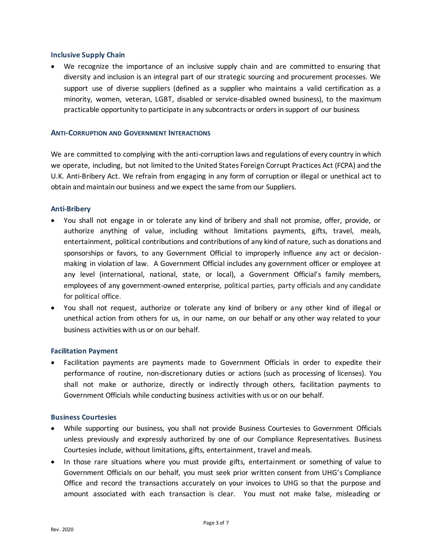#### **Inclusive Supply Chain**

We recognize the importance of an inclusive supply chain and are committed to ensuring that diversity and inclusion is an integral part of our strategic sourcing and procurement processes. We support use of diverse suppliers (defined as a supplier who maintains a valid certification as a minority, women, veteran, LGBT, disabled or service-disabled owned business), to the maximum practicable opportunity to participate in any subcontracts or orders in support of our business

#### **ANTI-CORRUPTION AND GOVERNMENT INTERACTIONS**

We are committed to complying with the anti-corruption laws and regulations of every country in which we operate, including, but not limited to the United States Foreign Corrupt Practices Act (FCPA) and the U.K. Anti-Bribery Act. We refrain from engaging in any form of corruption or illegal or unethical act to obtain and maintain our business and we expect the same from our Suppliers.

#### **Anti-Bribery**

- You shall not engage in or tolerate any kind of bribery and shall not promise, offer, provide, or authorize anything of value, including without limitations payments, gifts, travel, meals, entertainment, political contributions and contributions of any kind of nature, such as donations and sponsorships or favors, to any Government Official to improperly influence any act or decisionmaking in violation of law. A Government Official includes any government officer or employee at any level (international, national, state, or local), a Government Official's family members, employees of any government-owned enterprise, political parties, party officials and any candidate for political office.
- You shall not request, authorize or tolerate any kind of bribery or any other kind of illegal or unethical action from others for us, in our name, on our behalf or any other way related to your business activities with us or on our behalf.

## **Facilitation Payment**

 Facilitation payments are payments made to Government Officials in order to expedite their performance of routine, non-discretionary duties or actions (such as processing of licenses). You shall not make or authorize, directly or indirectly through others, facilitation payments to Government Officials while conducting business activities with us or on our behalf.

#### **Business Courtesies**

- While supporting our business, you shall not provide Business Courtesies to Government Officials unless previously and expressly authorized by one of our Compliance Representatives. Business Courtesies include, without limitations, gifts, entertainment, travel and meals.
- In those rare situations where you must provide gifts, entertainment or something of value to Government Officials on our behalf, you must seek prior written consent from UHG's Compliance Office and record the transactions accurately on your invoices to UHG so that the purpose and amount associated with each transaction is clear. You must not make false, misleading or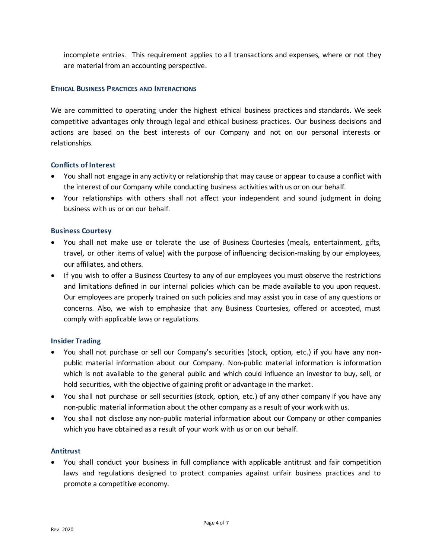incomplete entries. This requirement applies to all transactions and expenses, where or not they are material from an accounting perspective.

## **ETHICAL BUSINESS PRACTICES AND INTERACTIONS**

We are committed to operating under the highest ethical business practices and standards. We seek competitive advantages only through legal and ethical business practices. Our business decisions and actions are based on the best interests of our Company and not on our personal interests or relationships.

## **Conflicts of Interest**

- You shall not engage in any activity or relationship that may cause or appear to cause a conflict with the interest of our Company while conducting business activities with us or on our behalf.
- Your relationships with others shall not affect your independent and sound judgment in doing business with us or on our behalf.

## **Business Courtesy**

- You shall not make use or tolerate the use of Business Courtesies (meals, entertainment, gifts, travel, or other items of value) with the purpose of influencing decision-making by our employees, our affiliates, and others.
- If you wish to offer a Business Courtesy to any of our employees you must observe the restrictions and limitations defined in our internal policies which can be made available to you upon request. Our employees are properly trained on such policies and may assist you in case of any questions or concerns. Also, we wish to emphasize that any Business Courtesies, offered or accepted, must comply with applicable laws or regulations.

## **Insider Trading**

- You shall not purchase or sell our Company's securities (stock, option, etc.) if you have any nonpublic material information about our Company. Non-public material information is information which is not available to the general public and which could influence an investor to buy, sell, or hold securities, with the objective of gaining profit or advantage in the market.
- You shall not purchase or sell securities (stock, option, etc.) of any other company if you have any non-public material information about the other company as a result of your work with us.
- You shall not disclose any non-public material information about our Company or other companies which you have obtained as a result of your work with us or on our behalf.

## **Antitrust**

 You shall conduct your business in full compliance with applicable antitrust and fair competition laws and regulations designed to protect companies against unfair business practices and to promote a competitive economy.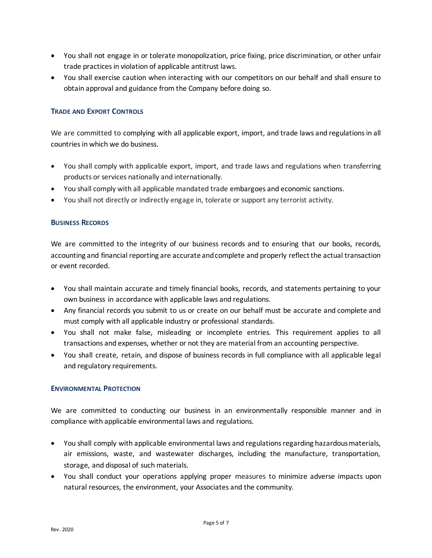- You shall not engage in or tolerate monopolization, price fixing, price discrimination, or other unfair trade practices in violation of applicable antitrust laws.
- You shall exercise caution when interacting with our competitors on our behalf and shall ensure to obtain approval and guidance from the Company before doing so.

## **TRADE AND EXPORT CONTROLS**

We are committed to complying with all applicable export, import, and trade laws and regulations in all countries in which we do business.

- You shall comply with applicable export, import, and trade laws and regulations when transferring products or services nationally and internationally.
- You shall comply with all applicable mandated trade embargoes and economic sanctions.
- You shall not directly or indirectly engage in, tolerate or support any terrorist activity.

## **BUSINESS RECORDS**

We are committed to the integrity of our business records and to ensuring that our books, records, accounting and financial reporting are accurate and complete and properly reflect the actual transaction or event recorded.

- You shall maintain accurate and timely financial books, records, and statements pertaining to your own business in accordance with applicable laws and regulations.
- Any financial records you submit to us or create on our behalf must be accurate and complete and must comply with all applicable industry or professional standards.
- You shall not make false, misleading or incomplete entries. This requirement applies to all transactions and expenses, whether or not they are material from an accounting perspective.
- You shall create, retain, and dispose of business records in full compliance with all applicable legal and regulatory requirements.

## **ENVIRONMENTAL PROTECTION**

We are committed to conducting our business in an environmentally responsible manner and in compliance with applicable environmental laws and regulations.

- You shall comply with applicable environmental laws and regulations regarding hazardous materials, air emissions, waste, and wastewater discharges, including the manufacture, transportation, storage, and disposal of such materials.
- You shall conduct your operations applying proper measures to minimize adverse impacts upon natural resources, the environment, your Associates and the community.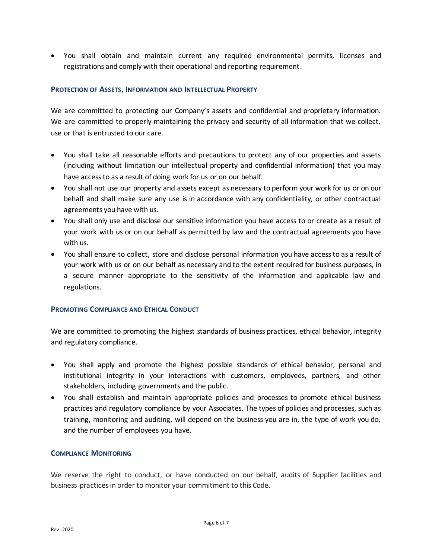You shall obtain and maintain current any required environmental permits, licenses and registrations and comply with their operational and reporting requirement.

## **PROTECTION OF ASSETS, INFORMATION AND INTELLECTUAL PROPERTY**

We are committed to protecting our Company's assets and confidential and proprietary information. We are committed to properly maintaining the privacy and security of all information that we collect, use or that is entrusted to our care.

- You shall take all reasonable efforts and precautions to protect any of our properties and assets (including without limitation our intellectual property and confidential information) that you may have access to as a result of doing work for us or on our behalf.
- You shall not use our property and assets except as necessary to perform your work for us or on our behalf and shall make sure any use is in accordance with any confidentiality, or other contractual agreements you have with us.
- You shall only use and disclose our sensitive information you have access to or create as a result of your work with us or on our behalf as permitted by law and the contractual agreements you have with us.
- You shall ensure to collect, store and disclose personal information you have access to as a result of your work with us or on our behalf as necessary and to the extent required for business purposes, in a secure manner appropriate to the sensitivity of the information and applicable law and regulations.

## **PROMOTING COMPLIANCE AND ETHICAL CONDUCT**

We are committed to promoting the highest standards of business practices, ethical behavior, integrity and regulatory compliance.

- You shall apply and promote the highest possible standards of ethical behavior, personal and institutional integrity in your interactions with customers, employees, partners, and other stakeholders, including governments and the public.
- You shall establish and maintain appropriate policies and processes to promote ethical business practices and regulatory compliance by your Associates. The types of policies and processes, such as training, monitoring and auditing, will depend on the business you are in, the type of work you do, and the number of employees you have.

## **COMPLIANCE MONITORING**

We reserve the right to conduct, or have conducted on our behalf, audits of Supplier facilities and business practices in order to monitor your commitment to this Code.